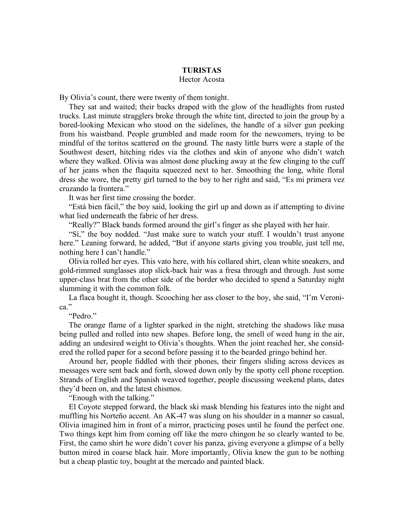## **TURISTAS**

## Hector Acosta

By Olivia's count, there were twenty of them tonight.

They sat and waited; their backs draped with the glow of the headlights from rusted trucks. Last minute stragglers broke through the white tint, directed to join the group by a bored-looking Mexican who stood on the sidelines, the handle of a silver gun peeking from his waistband. People grumbled and made room for the newcomers, trying to be mindful of the toritos scattered on the ground. The nasty little burrs were a staple of the Southwest desert, hitching rides via the clothes and skin of anyone who didn't watch where they walked. Olivia was almost done plucking away at the few clinging to the cuff of her jeans when the flaquita squeezed next to her. Smoothing the long, white floral dress she wore, the pretty girl turned to the boy to her right and said, "Es mi primera vez cruzando la frontera."

It was her first time crossing the border.

"Está bien fácil," the boy said, looking the girl up and down as if attempting to divine what lied underneath the fabric of her dress.

"Really?" Black bands formed around the girl's finger as she played with her hair.

"Sí," the boy nodded. "Just make sure to watch your stuff. I wouldn't trust anyone here." Leaning forward, he added, "But if anyone starts giving you trouble, just tell me, nothing here I can't handle."

Olivia rolled her eyes. This vato here, with his collared shirt, clean white sneakers, and gold-rimmed sunglasses atop slick-back hair was a fresa through and through. Just some upper-class brat from the other side of the border who decided to spend a Saturday night slumming it with the common folk.

La flaca bought it, though. Scooching her ass closer to the boy, she said, "I'm Veronica."

"Pedro."

The orange flame of a lighter sparked in the night, stretching the shadows like masa being pulled and rolled into new shapes. Before long, the smell of weed hung in the air, adding an undesired weight to Olivia's thoughts. When the joint reached her, she considered the rolled paper for a second before passing it to the bearded gringo behind her.

Around her, people fiddled with their phones, their fingers sliding across devices as messages were sent back and forth, slowed down only by the spotty cell phone reception. Strands of English and Spanish weaved together, people discussing weekend plans, dates they'd been on, and the latest chismos.

"Enough with the talking."

El Coyote stepped forward, the black ski mask blending his features into the night and muffling his Norteño accent. An AK-47 was slung on his shoulder in a manner so casual, Olivia imagined him in front of a mirror, practicing poses until he found the perfect one. Two things kept him from coming off like the mero chingon he so clearly wanted to be. First, the camo shirt he wore didn't cover his panza, giving everyone a glimpse of a belly button mired in coarse black hair. More importantly, Olivia knew the gun to be nothing but a cheap plastic toy, bought at the mercado and painted black.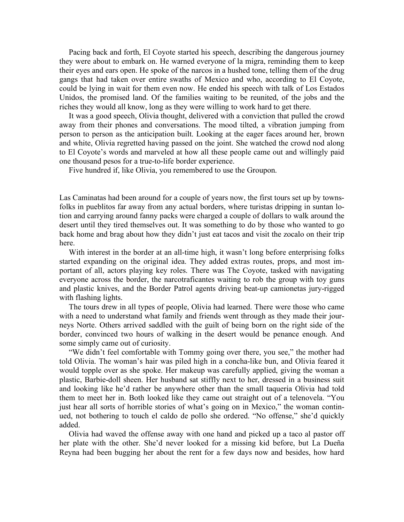Pacing back and forth, El Coyote started his speech, describing the dangerous journey they were about to embark on. He warned everyone of la migra, reminding them to keep their eyes and ears open. He spoke of the narcos in a hushed tone, telling them of the drug gangs that had taken over entire swaths of Mexico and who, according to El Coyote, could be lying in wait for them even now. He ended his speech with talk of Los Estados Unidos, the promised land. Of the families waiting to be reunited, of the jobs and the riches they would all know, long as they were willing to work hard to get there.

It was a good speech, Olivia thought, delivered with a conviction that pulled the crowd away from their phones and conversations. The mood tilted, a vibration jumping from person to person as the anticipation built. Looking at the eager faces around her, brown and white, Olivia regretted having passed on the joint. She watched the crowd nod along to El Coyote's words and marveled at how all these people came out and willingly paid one thousand pesos for a true-to-life border experience.

Five hundred if, like Olivia, you remembered to use the Groupon.

Las Caminatas had been around for a couple of years now, the first tours set up by townsfolks in pueblitos far away from any actual borders, where turistas dripping in suntan lotion and carrying around fanny packs were charged a couple of dollars to walk around the desert until they tired themselves out. It was something to do by those who wanted to go back home and brag about how they didn't just eat tacos and visit the zocalo on their trip here.

With interest in the border at an all-time high, it wasn't long before enterprising folks started expanding on the original idea. They added extras routes, props, and most important of all, actors playing key roles. There was The Coyote, tasked with navigating everyone across the border, the narcotraficantes waiting to rob the group with toy guns and plastic knives, and the Border Patrol agents driving beat-up camionetas jury-rigged with flashing lights.

The tours drew in all types of people, Olivia had learned. There were those who came with a need to understand what family and friends went through as they made their journeys Norte. Others arrived saddled with the guilt of being born on the right side of the border, convinced two hours of walking in the desert would be penance enough. And some simply came out of curiosity.

"We didn't feel comfortable with Tommy going over there, you see," the mother had told Olivia. The woman's hair was piled high in a concha-like bun, and Olivia feared it would topple over as she spoke. Her makeup was carefully applied, giving the woman a plastic, Barbie-doll sheen. Her husband sat stiffly next to her, dressed in a business suit and looking like he'd rather be anywhere other than the small taqueria Olivia had told them to meet her in. Both looked like they came out straight out of a telenovela. "You just hear all sorts of horrible stories of what's going on in Mexico," the woman continued, not bothering to touch el caldo de pollo she ordered. "No offense," she'd quickly added.

Olivia had waved the offense away with one hand and picked up a taco al pastor off her plate with the other. She'd never looked for a missing kid before, but La Dueña Reyna had been bugging her about the rent for a few days now and besides, how hard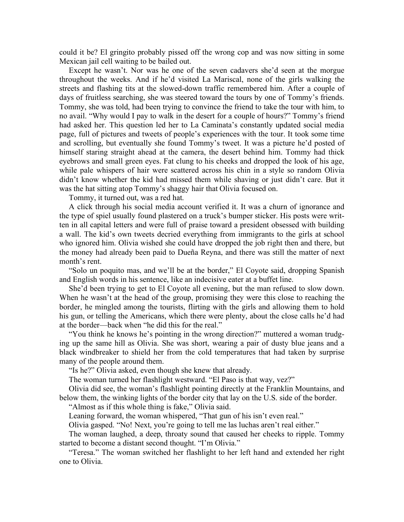could it be? El gringito probably pissed off the wrong cop and was now sitting in some Mexican jail cell waiting to be bailed out.

Except he wasn't. Nor was he one of the seven cadavers she'd seen at the morgue throughout the weeks. And if he'd visited La Mariscal, none of the girls walking the streets and flashing tits at the slowed-down traffic remembered him. After a couple of days of fruitless searching, she was steered toward the tours by one of Tommy's friends. Tommy, she was told, had been trying to convince the friend to take the tour with him, to no avail. "Why would I pay to walk in the desert for a couple of hours?" Tommy's friend had asked her. This question led her to La Caminata's constantly updated social media page, full of pictures and tweets of people's experiences with the tour. It took some time and scrolling, but eventually she found Tommy's tweet. It was a picture he'd posted of himself staring straight ahead at the camera, the desert behind him. Tommy had thick eyebrows and small green eyes. Fat clung to his cheeks and dropped the look of his age, while pale whispers of hair were scattered across his chin in a style so random Olivia didn't know whether the kid had missed them while shaving or just didn't care. But it was the hat sitting atop Tommy's shaggy hair that Olivia focused on.

Tommy, it turned out, was a red hat.

A click through his social media account verified it. It was a churn of ignorance and the type of spiel usually found plastered on a truck's bumper sticker. His posts were written in all capital letters and were full of praise toward a president obsessed with building a wall. The kid's own tweets decried everything from immigrants to the girls at school who ignored him. Olivia wished she could have dropped the job right then and there, but the money had already been paid to Dueña Reyna, and there was still the matter of next month's rent.

"Solo un poquito mas, and we'll be at the border," El Coyote said, dropping Spanish and English words in his sentence, like an indecisive eater at a buffet line.

She'd been trying to get to El Coyote all evening, but the man refused to slow down. When he wasn't at the head of the group, promising they were this close to reaching the border, he mingled among the tourists, flirting with the girls and allowing them to hold his gun, or telling the Americans, which there were plenty, about the close calls he'd had at the border—back when "he did this for the real."

"You think he knows he's pointing in the wrong direction?" muttered a woman trudging up the same hill as Olivia. She was short, wearing a pair of dusty blue jeans and a black windbreaker to shield her from the cold temperatures that had taken by surprise many of the people around them.

"Is he?" Olivia asked, even though she knew that already.

The woman turned her flashlight westward. "El Paso is that way, vez?"

Olivia did see, the woman's flashlight pointing directly at the Franklin Mountains, and below them, the winking lights of the border city that lay on the U.S. side of the border.

"Almost as if this whole thing is fake," Olivia said.

Leaning forward, the woman whispered, "That gun of his isn't even real."

Olivia gasped. "No! Next, you're going to tell me las luchas aren't real either."

The woman laughed, a deep, throaty sound that caused her cheeks to ripple. Tommy started to become a distant second thought. "I'm Olivia."

"Teresa." The woman switched her flashlight to her left hand and extended her right one to Olivia.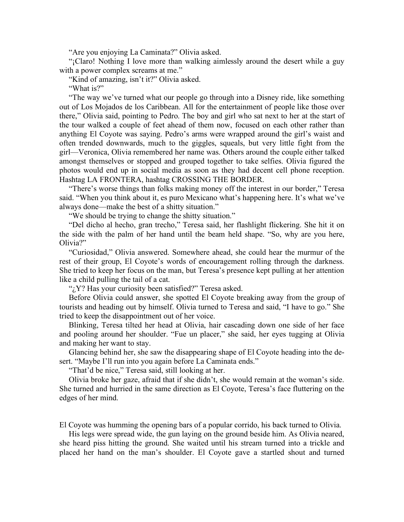"Are you enjoying La Caminata?" Olivia asked.

"¡Claro! Nothing I love more than walking aimlessly around the desert while a guy with a power complex screams at me."

"Kind of amazing, isn't it?" Olivia asked.

"What is?"

"The way we've turned what our people go through into a Disney ride, like something out of Los Mojados de los Caribbean. All for the entertainment of people like those over there," Olivia said, pointing to Pedro. The boy and girl who sat next to her at the start of the tour walked a couple of feet ahead of them now, focused on each other rather than anything El Coyote was saying. Pedro's arms were wrapped around the girl's waist and often trended downwards, much to the giggles, squeals, but very little fight from the girl—Veronica, Olivia remembered her name was. Others around the couple either talked amongst themselves or stopped and grouped together to take selfies. Olivia figured the photos would end up in social media as soon as they had decent cell phone reception. Hashtag LA FRONTERA, hashtag CROSSING THE BORDER.

"There's worse things than folks making money off the interest in our border," Teresa said. "When you think about it, es puro Mexicano what's happening here. It's what we've always done—make the best of a shitty situation."

"We should be trying to change the shitty situation."

"Del dicho al hecho, gran trecho," Teresa said, her flashlight flickering. She hit it on the side with the palm of her hand until the beam held shape. "So, why are you here, Olivia?"

"Curiosidad," Olivia answered. Somewhere ahead, she could hear the murmur of the rest of their group, El Coyote's words of encouragement rolling through the darkness. She tried to keep her focus on the man, but Teresa's presence kept pulling at her attention like a child pulling the tail of a cat.

"; Y? Has your curiosity been satisfied?" Teresa asked.

Before Olivia could answer, she spotted El Coyote breaking away from the group of tourists and heading out by himself. Olivia turned to Teresa and said, "I have to go." She tried to keep the disappointment out of her voice.

Blinking, Teresa tilted her head at Olivia, hair cascading down one side of her face and pooling around her shoulder. "Fue un placer," she said, her eyes tugging at Olivia and making her want to stay.

Glancing behind her, she saw the disappearing shape of El Coyote heading into the desert. "Maybe I'll run into you again before La Caminata ends."

"That'd be nice," Teresa said, still looking at her.

Olivia broke her gaze, afraid that if she didn't, she would remain at the woman's side. She turned and hurried in the same direction as El Coyote, Teresa's face fluttering on the edges of her mind.

El Coyote was humming the opening bars of a popular corrido, his back turned to Olivia.

His legs were spread wide, the gun laying on the ground beside him. As Olivia neared, she heard piss hitting the ground. She waited until his stream turned into a trickle and placed her hand on the man's shoulder. El Coyote gave a startled shout and turned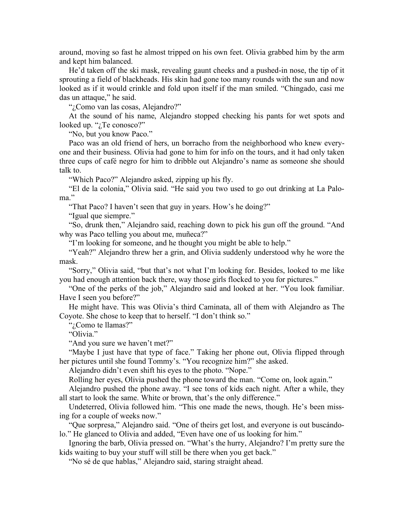around, moving so fast he almost tripped on his own feet. Olivia grabbed him by the arm and kept him balanced.

He'd taken off the ski mask, revealing gaunt cheeks and a pushed-in nose, the tip of it sprouting a field of blackheads. His skin had gone too many rounds with the sun and now looked as if it would crinkle and fold upon itself if the man smiled. "Chingado, casi me das un attaque," he said.

"¿Como van las cosas, Alejandro?"

At the sound of his name, Alejandro stopped checking his pants for wet spots and looked up. "*i*Te conosco?"

"No, but you know Paco."

Paco was an old friend of hers, un borracho from the neighborhood who knew everyone and their business. Olivia had gone to him for info on the tours, and it had only taken three cups of café negro for him to dribble out Alejandro's name as someone she should talk to.

"Which Paco?" Alejandro asked, zipping up his fly.

"El de la colonia," Olivia said. "He said you two used to go out drinking at La Paloma."

"That Paco? I haven't seen that guy in years. How's he doing?"

"Igual que siempre."

"So, drunk then," Alejandro said, reaching down to pick his gun off the ground. "And why was Paco telling you about me, muñeca?"

"I'm looking for someone, and he thought you might be able to help."

"Yeah?" Alejandro threw her a grin, and Olivia suddenly understood why he wore the mask.

"Sorry," Olivia said, "but that's not what I'm looking for. Besides, looked to me like you had enough attention back there, way those girls flocked to you for pictures."

"One of the perks of the job," Alejandro said and looked at her. "You look familiar. Have I seen you before?"

He might have. This was Olivia's third Caminata, all of them with Alejandro as The Coyote. She chose to keep that to herself. "I don't think so."

"¿Como te llamas?"

"Olivia."

"And you sure we haven't met?"

"Maybe I just have that type of face." Taking her phone out, Olivia flipped through her pictures until she found Tommy's. "You recognize him?" she asked.

Alejandro didn't even shift his eyes to the photo. "Nope."

Rolling her eyes, Olivia pushed the phone toward the man. "Come on, look again."

Alejandro pushed the phone away. "I see tons of kids each night. After a while, they all start to look the same. White or brown, that's the only difference."

Undeterred, Olivia followed him. "This one made the news, though. He's been missing for a couple of weeks now."

"Que sorpresa," Alejandro said. "One of theirs get lost, and everyone is out buscándolo." He glanced to Olivia and added, "Even have one of us looking for him."

Ignoring the barb, Olivia pressed on. "What's the hurry, Alejandro? I'm pretty sure the kids waiting to buy your stuff will still be there when you get back."

"No sé de que hablas," Alejandro said, staring straight ahead.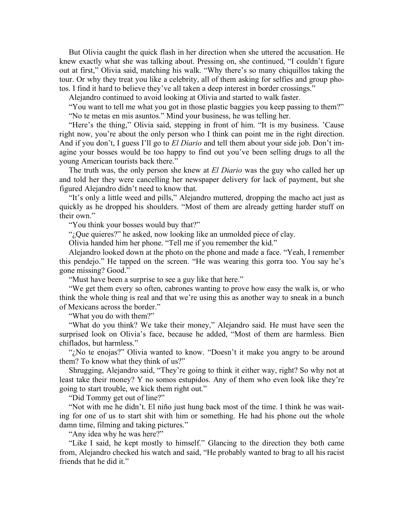But Olivia caught the quick flash in her direction when she uttered the accusation. He knew exactly what she was talking about. Pressing on, she continued, "I couldn't figure out at first," Olivia said, matching his walk. "Why there's so many chiquillos taking the tour. Or why they treat you like a celebrity, all of them asking for selfies and group photos. I find it hard to believe they've all taken a deep interest in border crossings."

Alejandro continued to avoid looking at Olivia and started to walk faster.

"You want to tell me what you got in those plastic baggies you keep passing to them?" "No te metas en mis asuntos." Mind your business, he was telling her.

"Here's the thing," Olivia said, stepping in front of him. "It is my business. 'Cause right now, you're about the only person who I think can point me in the right direction. And if you don't, I guess I'll go to *El Diario* and tell them about your side job. Don't imagine your bosses would be too happy to find out you've been selling drugs to all the young American tourists back there."

The truth was, the only person she knew at *El Diario* was the guy who called her up and told her they were cancelling her newspaper delivery for lack of payment, but she figured Alejandro didn't need to know that.

"It's only a little weed and pills," Alejandro muttered, dropping the macho act just as quickly as he dropped his shoulders. "Most of them are already getting harder stuff on their own."

"You think your bosses would buy that?"

". Que quieres?" he asked, now looking like an unmolded piece of clay.

Olivia handed him her phone. "Tell me if you remember the kid."

Alejandro looked down at the photo on the phone and made a face. "Yeah, I remember this pendejo." He tapped on the screen. "He was wearing this gorra too. You say he's gone missing? Good."

"Must have been a surprise to see a guy like that here."

"We get them every so often, cabrones wanting to prove how easy the walk is, or who think the whole thing is real and that we're using this as another way to sneak in a bunch of Mexicans across the border."

"What you do with them?"

"What do you think? We take their money," Alejandro said. He must have seen the surprised look on Olivia's face, because he added, "Most of them are harmless. Bien chiflados, but harmless."

"¿No te enojas?" Olivia wanted to know. "Doesn't it make you angry to be around them? To know what they think of us?"

Shrugging, Alejandro said, "They're going to think it either way, right? So why not at least take their money? Y no somos estupidos. Any of them who even look like they're going to start trouble, we kick them right out."

"Did Tommy get out of line?"

"Not with me he didn't. El niño just hung back most of the time. I think he was waiting for one of us to start shit with him or something. He had his phone out the whole damn time, filming and taking pictures."

"Any idea why he was here?"

"Like I said, he kept mostly to himself." Glancing to the direction they both came from, Alejandro checked his watch and said, "He probably wanted to brag to all his racist friends that he did it."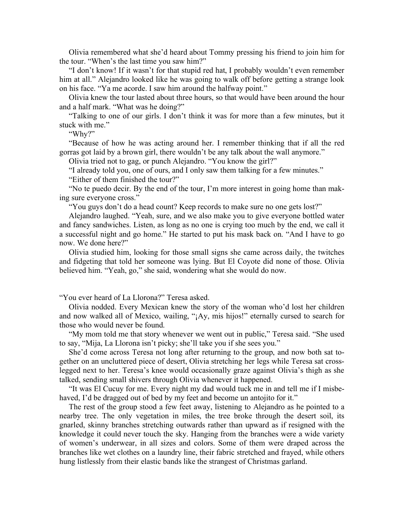Olivia remembered what she'd heard about Tommy pressing his friend to join him for the tour. "When's the last time you saw him?"

"I don't know! If it wasn't for that stupid red hat, I probably wouldn't even remember him at all." Alejandro looked like he was going to walk off before getting a strange look on his face. "Ya me acorde. I saw him around the halfway point."

Olivia knew the tour lasted about three hours, so that would have been around the hour and a half mark. "What was he doing?"

"Talking to one of our girls. I don't think it was for more than a few minutes, but it stuck with me."

"Why?"

"Because of how he was acting around her. I remember thinking that if all the red gorras got laid by a brown girl, there wouldn't be any talk about the wall anymore."

Olivia tried not to gag, or punch Alejandro. "You know the girl?"

"I already told you, one of ours, and I only saw them talking for a few minutes."

"Either of them finished the tour?"

"No te puedo decir. By the end of the tour, I'm more interest in going home than making sure everyone cross."

"You guys don't do a head count? Keep records to make sure no one gets lost?"

Alejandro laughed. "Yeah, sure, and we also make you to give everyone bottled water and fancy sandwiches. Listen, as long as no one is crying too much by the end, we call it a successful night and go home." He started to put his mask back on. "And I have to go now. We done here?"

Olivia studied him, looking for those small signs she came across daily, the twitches and fidgeting that told her someone was lying. But El Coyote did none of those. Olivia believed him. "Yeah, go," she said, wondering what she would do now.

"You ever heard of La Llorona?" Teresa asked.

Olivia nodded. Every Mexican knew the story of the woman who'd lost her children and now walked all of Mexico, wailing, "¡Ay, mis hijos!" eternally cursed to search for those who would never be found.

"My mom told me that story whenever we went out in public," Teresa said. "She used to say, "Mija, La Llorona isn't picky; she'll take you if she sees you."

She'd come across Teresa not long after returning to the group, and now both sat together on an uncluttered piece of desert, Olivia stretching her legs while Teresa sat crosslegged next to her. Teresa's knee would occasionally graze against Olivia's thigh as she talked, sending small shivers through Olivia whenever it happened.

"It was El Cucuy for me. Every night my dad would tuck me in and tell me if I misbehaved, I'd be dragged out of bed by my feet and become un antojito for it."

The rest of the group stood a few feet away, listening to Alejandro as he pointed to a nearby tree. The only vegetation in miles, the tree broke through the desert soil, its gnarled, skinny branches stretching outwards rather than upward as if resigned with the knowledge it could never touch the sky. Hanging from the branches were a wide variety of women's underwear, in all sizes and colors. Some of them were draped across the branches like wet clothes on a laundry line, their fabric stretched and frayed, while others hung listlessly from their elastic bands like the strangest of Christmas garland.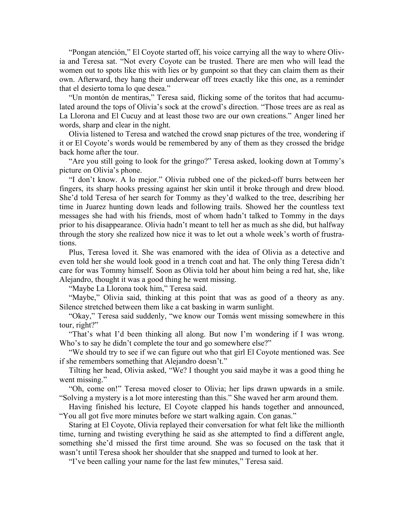"Pongan atención," El Coyote started off, his voice carrying all the way to where Olivia and Teresa sat. "Not every Coyote can be trusted. There are men who will lead the women out to spots like this with lies or by gunpoint so that they can claim them as their own. Afterward, they hang their underwear off trees exactly like this one, as a reminder that el desierto toma lo que desea."

"Un montón de mentiras," Teresa said, flicking some of the toritos that had accumulated around the tops of Olivia's sock at the crowd's direction. "Those trees are as real as La Llorona and El Cucuy and at least those two are our own creations." Anger lined her words, sharp and clear in the night.

Olivia listened to Teresa and watched the crowd snap pictures of the tree, wondering if it or El Coyote's words would be remembered by any of them as they crossed the bridge back home after the tour.

"Are you still going to look for the gringo?" Teresa asked, looking down at Tommy's picture on Olivia's phone.

"I don't know. A lo mejor." Olivia rubbed one of the picked-off burrs between her fingers, its sharp hooks pressing against her skin until it broke through and drew blood. She'd told Teresa of her search for Tommy as they'd walked to the tree, describing her time in Juarez hunting down leads and following trails. Showed her the countless text messages she had with his friends, most of whom hadn't talked to Tommy in the days prior to his disappearance. Olivia hadn't meant to tell her as much as she did, but halfway through the story she realized how nice it was to let out a whole week's worth of frustrations.

Plus, Teresa loved it. She was enamored with the idea of Olivia as a detective and even told her she would look good in a trench coat and hat. The only thing Teresa didn't care for was Tommy himself. Soon as Olivia told her about him being a red hat, she, like Alejandro, thought it was a good thing he went missing.

"Maybe La Llorona took him," Teresa said.

"Maybe," Olivia said, thinking at this point that was as good of a theory as any. Silence stretched between them like a cat basking in warm sunlight.

"Okay," Teresa said suddenly, "we know our Tomás went missing somewhere in this tour, right?"

"That's what I'd been thinking all along. But now I'm wondering if I was wrong. Who's to say he didn't complete the tour and go somewhere else?"

"We should try to see if we can figure out who that girl El Coyote mentioned was. See if she remembers something that Alejandro doesn't."

Tilting her head, Olivia asked, "We? I thought you said maybe it was a good thing he went missing."

"Oh, come on!" Teresa moved closer to Olivia; her lips drawn upwards in a smile. "Solving a mystery is a lot more interesting than this." She waved her arm around them.

Having finished his lecture, El Coyote clapped his hands together and announced, "You all got five more minutes before we start walking again. Con ganas."

Staring at El Coyote, Olivia replayed their conversation for what felt like the millionth time, turning and twisting everything he said as she attempted to find a different angle, something she'd missed the first time around. She was so focused on the task that it wasn't until Teresa shook her shoulder that she snapped and turned to look at her.

"I've been calling your name for the last few minutes," Teresa said.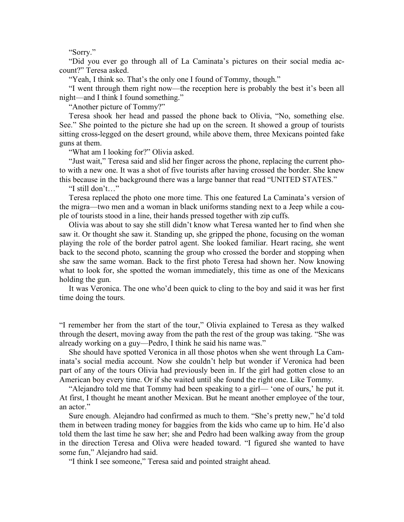"Sorry."

"Did you ever go through all of La Caminata's pictures on their social media account?" Teresa asked.

"Yeah, I think so. That's the only one I found of Tommy, though."

"I went through them right now—the reception here is probably the best it's been all night—and I think I found something."

"Another picture of Tommy?"

Teresa shook her head and passed the phone back to Olivia, "No, something else. See." She pointed to the picture she had up on the screen. It showed a group of tourists sitting cross-legged on the desert ground, while above them, three Mexicans pointed fake guns at them.

"What am I looking for?" Olivia asked.

"Just wait," Teresa said and slid her finger across the phone, replacing the current photo with a new one. It was a shot of five tourists after having crossed the border. She knew this because in the background there was a large banner that read "UNITED STATES."

"I still don't…"

Teresa replaced the photo one more time. This one featured La Caminata's version of the migra—two men and a woman in black uniforms standing next to a Jeep while a couple of tourists stood in a line, their hands pressed together with zip cuffs.

Olivia was about to say she still didn't know what Teresa wanted her to find when she saw it. Or thought she saw it. Standing up, she gripped the phone, focusing on the woman playing the role of the border patrol agent. She looked familiar. Heart racing, she went back to the second photo, scanning the group who crossed the border and stopping when she saw the same woman. Back to the first photo Teresa had shown her. Now knowing what to look for, she spotted the woman immediately, this time as one of the Mexicans holding the gun.

It was Veronica. The one who'd been quick to cling to the boy and said it was her first time doing the tours.

"I remember her from the start of the tour," Olivia explained to Teresa as they walked through the desert, moving away from the path the rest of the group was taking. "She was already working on a guy—Pedro, I think he said his name was."

She should have spotted Veronica in all those photos when she went through La Caminata's social media account. Now she couldn't help but wonder if Veronica had been part of any of the tours Olivia had previously been in. If the girl had gotten close to an American boy every time. Or if she waited until she found the right one. Like Tommy.

"Alejandro told me that Tommy had been speaking to a girl— 'one of ours,' he put it. At first, I thought he meant another Mexican. But he meant another employee of the tour, an actor."

Sure enough. Alejandro had confirmed as much to them. "She's pretty new," he'd told them in between trading money for baggies from the kids who came up to him. He'd also told them the last time he saw her; she and Pedro had been walking away from the group in the direction Teresa and Oliva were headed toward. "I figured she wanted to have some fun," Alejandro had said.

"I think I see someone," Teresa said and pointed straight ahead.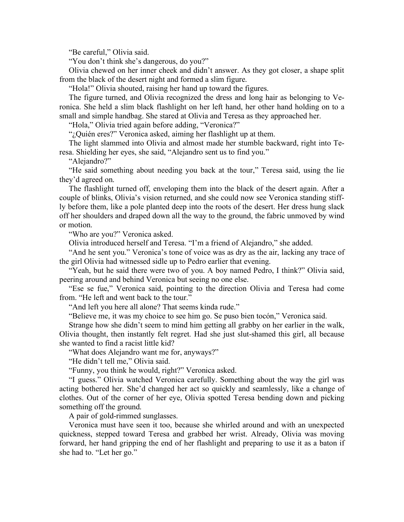"Be careful," Olivia said.

"You don't think she's dangerous, do you?"

Olivia chewed on her inner cheek and didn't answer. As they got closer, a shape split from the black of the desert night and formed a slim figure.

"Hola!" Olivia shouted, raising her hand up toward the figures.

The figure turned, and Olivia recognized the dress and long hair as belonging to Veronica. She held a slim black flashlight on her left hand, her other hand holding on to a small and simple handbag. She stared at Olivia and Teresa as they approached her.

"Hola," Olivia tried again before adding, "Veronica?"

"¿Quién eres?" Veronica asked, aiming her flashlight up at them.

The light slammed into Olivia and almost made her stumble backward, right into Teresa. Shielding her eyes, she said, "Alejandro sent us to find you."

"Alejandro?"

"He said something about needing you back at the tour," Teresa said, using the lie they'd agreed on.

The flashlight turned off, enveloping them into the black of the desert again. After a couple of blinks, Olivia's vision returned, and she could now see Veronica standing stiffly before them, like a pole planted deep into the roots of the desert. Her dress hung slack off her shoulders and draped down all the way to the ground, the fabric unmoved by wind or motion.

"Who are you?" Veronica asked.

Olivia introduced herself and Teresa. "I'm a friend of Alejandro," she added.

"And he sent you." Veronica's tone of voice was as dry as the air, lacking any trace of the girl Olivia had witnessed sidle up to Pedro earlier that evening.

"Yeah, but he said there were two of you. A boy named Pedro, I think?" Olivia said, peering around and behind Veronica but seeing no one else.

"Ese se fue," Veronica said, pointing to the direction Olivia and Teresa had come from. "He left and went back to the tour."

"And left you here all alone? That seems kinda rude."

"Believe me, it was my choice to see him go. Se puso bien tocón," Veronica said.

Strange how she didn't seem to mind him getting all grabby on her earlier in the walk, Olivia thought, then instantly felt regret. Had she just slut-shamed this girl, all because she wanted to find a racist little kid?

"What does Alejandro want me for, anyways?"

"He didn't tell me," Olivia said.

"Funny, you think he would, right?" Veronica asked.

"I guess." Olivia watched Veronica carefully. Something about the way the girl was acting bothered her. She'd changed her act so quickly and seamlessly, like a change of clothes. Out of the corner of her eye, Olivia spotted Teresa bending down and picking something off the ground.

A pair of gold-rimmed sunglasses.

Veronica must have seen it too, because she whirled around and with an unexpected quickness, stepped toward Teresa and grabbed her wrist. Already, Olivia was moving forward, her hand gripping the end of her flashlight and preparing to use it as a baton if she had to. "Let her go."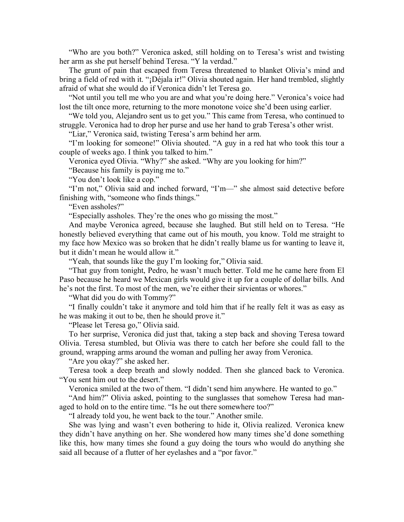"Who are you both?" Veronica asked, still holding on to Teresa's wrist and twisting her arm as she put herself behind Teresa. "Y la verdad."

The grunt of pain that escaped from Teresa threatened to blanket Olivia's mind and bring a field of red with it. "¡Déjala ir!" Olivia shouted again. Her hand trembled, slightly afraid of what she would do if Veronica didn't let Teresa go.

"Not until you tell me who you are and what you're doing here." Veronica's voice had lost the tilt once more, returning to the more monotone voice she'd been using earlier.

"We told you, Alejandro sent us to get you." This came from Teresa, who continued to struggle. Veronica had to drop her purse and use her hand to grab Teresa's other wrist.

"Liar," Veronica said, twisting Teresa's arm behind her arm.

"I'm looking for someone!" Olivia shouted. "A guy in a red hat who took this tour a couple of weeks ago. I think you talked to him."

Veronica eyed Olivia. "Why?" she asked. "Why are you looking for him?"

"Because his family is paying me to."

"You don't look like a cop."

"I'm not," Olivia said and inched forward, "I'm—" she almost said detective before finishing with, "someone who finds things."

"Even assholes?"

"Especially assholes. They're the ones who go missing the most."

And maybe Veronica agreed, because she laughed. But still held on to Teresa. "He honestly believed everything that came out of his mouth, you know. Told me straight to my face how Mexico was so broken that he didn't really blame us for wanting to leave it, but it didn't mean he would allow it."

"Yeah, that sounds like the guy I'm looking for," Olivia said.

"That guy from tonight, Pedro, he wasn't much better. Told me he came here from El Paso because he heard we Mexican girls would give it up for a couple of dollar bills. And he's not the first. To most of the men, we're either their sirvientas or whores."

"What did you do with Tommy?"

"I finally couldn't take it anymore and told him that if he really felt it was as easy as he was making it out to be, then he should prove it."

"Please let Teresa go," Olivia said.

To her surprise, Veronica did just that, taking a step back and shoving Teresa toward Olivia. Teresa stumbled, but Olivia was there to catch her before she could fall to the ground, wrapping arms around the woman and pulling her away from Veronica.

"Are you okay?" she asked her.

Teresa took a deep breath and slowly nodded. Then she glanced back to Veronica. "You sent him out to the desert."

Veronica smiled at the two of them. "I didn't send him anywhere. He wanted to go."

"And him?" Olivia asked, pointing to the sunglasses that somehow Teresa had managed to hold on to the entire time. "Is he out there somewhere too?"

"I already told you, he went back to the tour." Another smile.

She was lying and wasn't even bothering to hide it, Olivia realized. Veronica knew they didn't have anything on her. She wondered how many times she'd done something like this, how many times she found a guy doing the tours who would do anything she said all because of a flutter of her eyelashes and a "por favor."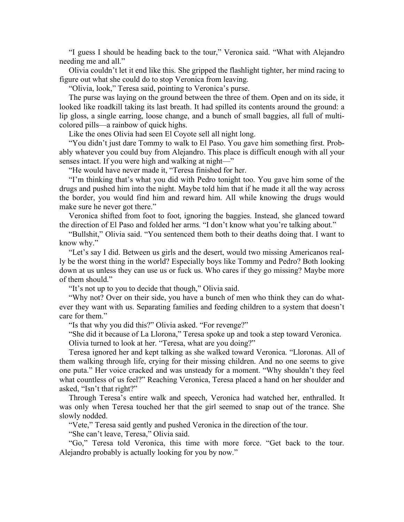"I guess I should be heading back to the tour," Veronica said. "What with Alejandro needing me and all."

Olivia couldn't let it end like this. She gripped the flashlight tighter, her mind racing to figure out what she could do to stop Veronica from leaving.

"Olivia, look," Teresa said, pointing to Veronica's purse.

The purse was laying on the ground between the three of them. Open and on its side, it looked like roadkill taking its last breath. It had spilled its contents around the ground: a lip gloss, a single earring, loose change, and a bunch of small baggies, all full of multicolored pills—a rainbow of quick highs.

Like the ones Olivia had seen El Coyote sell all night long.

"You didn't just dare Tommy to walk to El Paso. You gave him something first. Probably whatever you could buy from Alejandro. This place is difficult enough with all your senses intact. If you were high and walking at night—"

"He would have never made it, "Teresa finished for her.

"I'm thinking that's what you did with Pedro tonight too. You gave him some of the drugs and pushed him into the night. Maybe told him that if he made it all the way across the border, you would find him and reward him. All while knowing the drugs would make sure he never got there."

Veronica shifted from foot to foot, ignoring the baggies. Instead, she glanced toward the direction of El Paso and folded her arms. "I don't know what you're talking about."

"Bullshit," Olivia said. "You sentenced them both to their deaths doing that. I want to know why."

"Let's say I did. Between us girls and the desert, would two missing Americanos really be the worst thing in the world? Especially boys like Tommy and Pedro? Both looking down at us unless they can use us or fuck us. Who cares if they go missing? Maybe more of them should."

"It's not up to you to decide that though," Olivia said.

"Why not? Over on their side, you have a bunch of men who think they can do whatever they want with us. Separating families and feeding children to a system that doesn't care for them."

"Is that why you did this?" Olivia asked. "For revenge?"

"She did it because of La Llorona," Teresa spoke up and took a step toward Veronica.

Olivia turned to look at her. "Teresa, what are you doing?"

Teresa ignored her and kept talking as she walked toward Veronica. "Lloronas. All of them walking through life, crying for their missing children. And no one seems to give one puta." Her voice cracked and was unsteady for a moment. "Why shouldn't they feel what countless of us feel?" Reaching Veronica, Teresa placed a hand on her shoulder and asked, "Isn't that right?"

Through Teresa's entire walk and speech, Veronica had watched her, enthralled. It was only when Teresa touched her that the girl seemed to snap out of the trance. She slowly nodded.

"Vete," Teresa said gently and pushed Veronica in the direction of the tour.

"She can't leave, Teresa," Olivia said.

"Go," Teresa told Veronica, this time with more force. "Get back to the tour. Alejandro probably is actually looking for you by now."